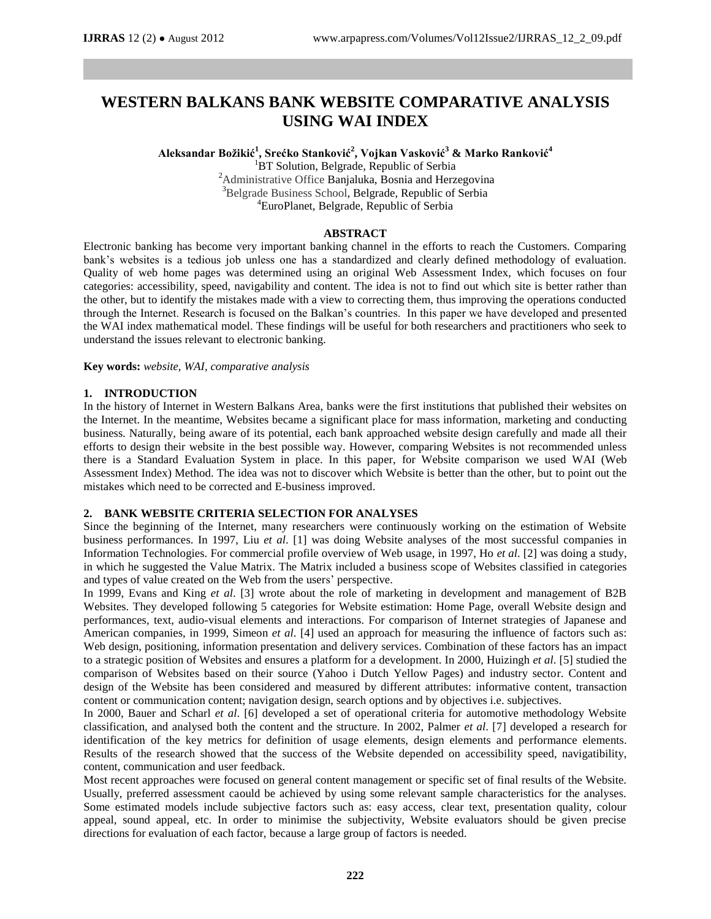# **WESTERN BALKANS BANK WEBSITE COMPARATIVE ANALYSIS USING WAI INDEX**

**Aleksandar Božikić<sup>1</sup> , Srećko Stanković<sup>2</sup> , Vojkan Vasković<sup>3</sup> & Marko Ranković<sup>4</sup>**

<sup>1</sup>BT Solution, Belgrade, Republic of Serbia <sup>2</sup>Administrative Office Banjaluka, Bosnia and Herzegovina <sup>3</sup>Belgrade Business School, Belgrade, Republic of Serbia <sup>4</sup>EuroPlanet, Belgrade, Republic of Serbia

# **ABSTRACT**

Electronic banking has become very important banking channel in the efforts to reach the Customers. Comparing bank's websites is a tedious job unless one has a standardized and clearly defined methodology of evaluation. Quality of web home pages was determined using an original Web Assessment Index, which focuses on four categories: accessibility, speed, navigability and content. The idea is not to find out which site is better rather than the other, but to identify the mistakes made with a view to correcting them, thus improving the operations conducted through the Internet. Research is focused on the Balkan's countries. In this paper we have developed and presented the WAI index mathematical model. These findings will be useful for both researchers and practitioners who seek to understand the issues relevant to electronic banking.

**Key words:** *website, WAI, comparative analysis*

# **1. INTRODUCTION**

In the history of Internet in Western Balkans Area, banks were the first institutions that published their websites on the Internet. In the meantime, Websites became a significant place for mass information, marketing and conducting business. Naturally, being aware of its potential, each bank approached website design carefully and made all their efforts to design their website in the best possible way. However, comparing Websites is not recommended unless there is a Standard Evaluation System in place. In this paper, for Website comparison we used WAI (Web Assessment Index) Method. The idea was not to discover which Website is better than the other, but to point out the mistakes which need to be corrected and E-business improved.

# **2. BANK WEBSITE CRITERIA SELECTION FOR ANALYSES**

Since the beginning of the Internet, many researchers were continuously working on the estimation of Website business performances. In 1997, Liu *et al*. [1] was doing Website analyses of the most successful companies in Information Technologies. For commercial profile overview of Web usage, in 1997, Ho *et al*. [2] was doing a study, in which he suggested the Value Matrix. The Matrix included a business scope of Websites classified in categories and types of value created on the Web from the users' perspective.

In 1999, Evans and King *et al*. [3] wrote about the role of marketing in development and management of B2B Websites. They developed following 5 categories for Website estimation: Home Page, overall Website design and performances, text, audio-visual elements and interactions. For comparison of Internet strategies of Japanese and American companies, in 1999, Simeon *et al*. [4] used an approach for measuring the influence of factors such as: Web design, positioning, information presentation and delivery services. Combination of these factors has an impact to a strategic position of Websites and ensures a platform for a development. In 2000, Huizingh *et al*. [5] studied the comparison of Websites based on their source (Yahoo i Dutch Yellow Pages) and industry sector. Content and design of the Website has been considered and measured by different attributes: informative content, transaction content or communication content; navigation design, search options and by objectives i.e. subjectives.

In 2000, Bauer and Scharl *et al*. [6] developed a set of operational criteria for automotive methodology Website classification, and analysed both the content and the structure. In 2002, Palmer *et al*. [7] developed a research for identification of the key metrics for definition of usage elements, design elements and performance elements. Results of the research showed that the success of the Website depended on accessibility speed, navigatibility, content, communication and user feedback.

Most recent approaches were focused on general content management or specific set of final results of the Website. Usually, preferred assessment caould be achieved by using some relevant sample characteristics for the analyses. Some estimated models include subjective factors such as: easy access, clear text, presentation quality, colour appeal, sound appeal, etc. In order to minimise the subjectivity, Website evaluators should be given precise directions for evaluation of each factor, because a large group of factors is needed.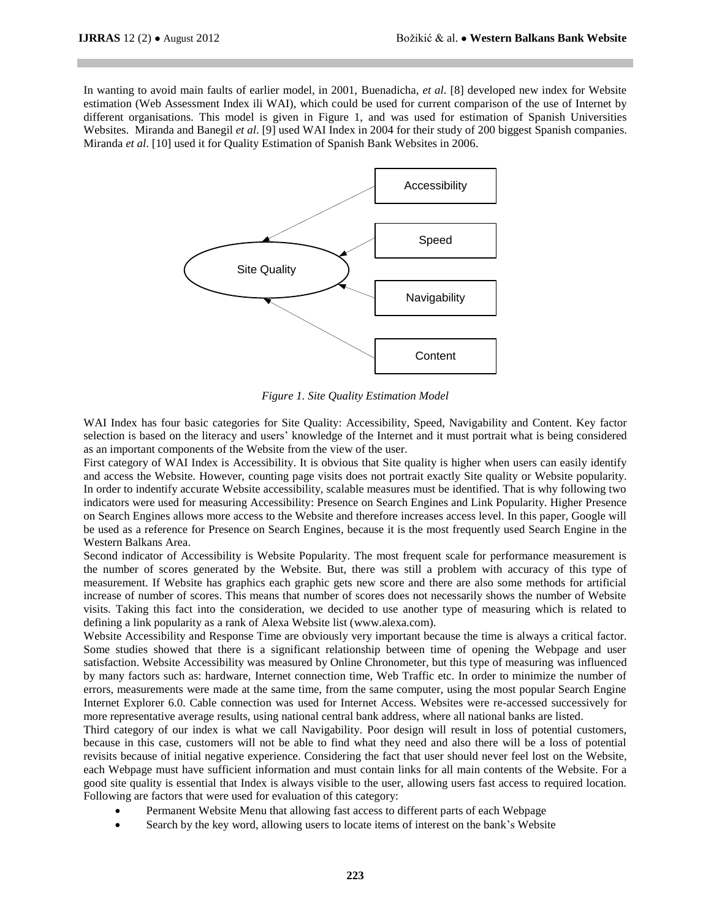In wanting to avoid main faults of earlier model, in 2001, Buenadicha, *et al*. [8] developed new index for Website estimation (Web Assessment Index ili WAI), which could be used for current comparison of the use of Internet by different organisations. This model is given in Figure 1, and was used for estimation of Spanish Universities Websites. Miranda and Banegil *et al*. [9] used WAI Index in 2004 for their study of 200 biggest Spanish companies. Miranda *et al*. [10] used it for Quality Estimation of Spanish Bank Websites in 2006.



*Figure 1. Site Quality Estimation Model*

WAI Index has four basic categories for Site Quality: Accessibility, Speed, Navigability and Content. Key factor selection is based on the literacy and users' knowledge of the Internet and it must portrait what is being considered as an important components of the Website from the view of the user.

First category of WAI Index is Accessibility. It is obvious that Site quality is higher when users can easily identify and access the Website. However, counting page visits does not portrait exactly Site quality or Website popularity. In order to indentify accurate Website accessibility, scalable measures must be identified. That is why following two indicators were used for measuring Accessibility: Presence on Search Engines and Link Popularity. Higher Presence on Search Engines allows more access to the Website and therefore increases access level. In this paper, Google will be used as a reference for Presence on Search Engines, because it is the most frequently used Search Engine in the Western Balkans Area.

Second indicator of Accessibility is Website Popularity. The most frequent scale for performance measurement is the number of scores generated by the Website. But, there was still a problem with accuracy of this type of measurement. If Website has graphics each graphic gets new score and there are also some methods for artificial increase of number of scores. This means that number of scores does not necessarily shows the number of Website visits. Taking this fact into the consideration, we decided to use another type of measuring which is related to defining a link popularity as a rank of Alexa Website list (www.alexa.com).

Website Accessibility and Response Time are obviously very important because the time is always a critical factor. Some studies showed that there is a significant relationship between time of opening the Webpage and user satisfaction. Website Accessibility was measured by Online Chronometer, but this type of measuring was influenced by many factors such as: hardware, Internet connection time, Web Traffic etc. In order to minimize the number of errors, measurements were made at the same time, from the same computer, using the most popular Search Engine Internet Explorer 6.0. Cable connection was used for Internet Access. Websites were re-accessed successively for more representative average results, using national central bank address, where all national banks are listed.

Third category of our index is what we call Navigability. Poor design will result in loss of potential customers, because in this case, customers will not be able to find what they need and also there will be a loss of potential revisits because of initial negative experience. Considering the fact that user should never feel lost on the Website, each Webpage must have sufficient information and must contain links for all main contents of the Website. For a good site quality is essential that Index is always visible to the user, allowing users fast access to required location. Following are factors that were used for evaluation of this category:

- Permanent Website Menu that allowing fast access to different parts of each Webpage
- Search by the key word, allowing users to locate items of interest on the bank's Website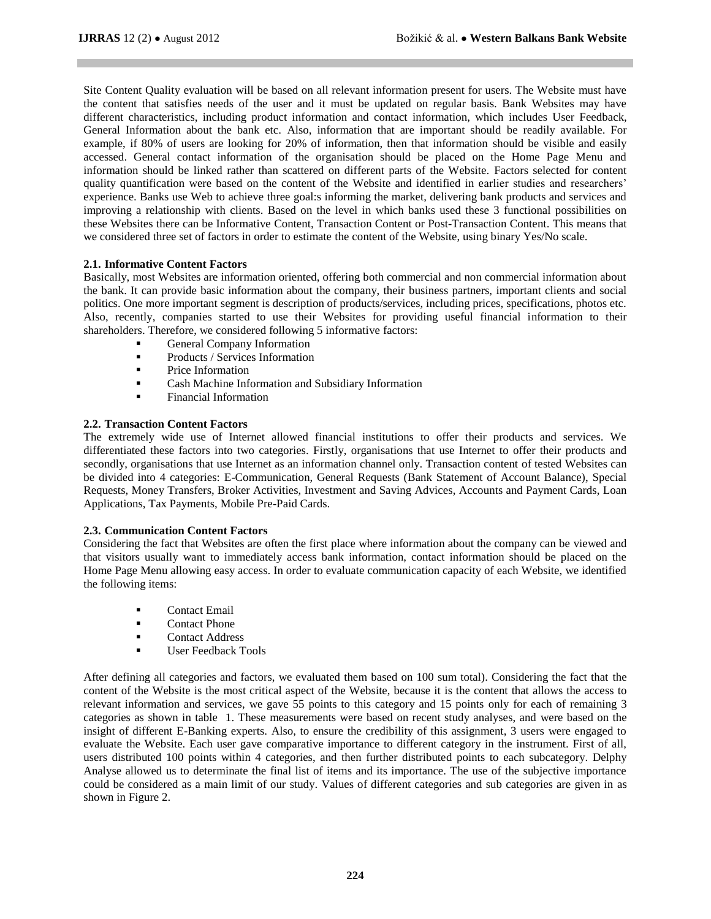Site Content Quality evaluation will be based on all relevant information present for users. The Website must have the content that satisfies needs of the user and it must be updated on regular basis. Bank Websites may have different characteristics, including product information and contact information, which includes User Feedback, General Information about the bank etc. Also, information that are important should be readily available. For example, if 80% of users are looking for 20% of information, then that information should be visible and easily accessed. General contact information of the organisation should be placed on the Home Page Menu and information should be linked rather than scattered on different parts of the Website. Factors selected for content quality quantification were based on the content of the Website and identified in earlier studies and researchers' experience. Banks use Web to achieve three goal:s informing the market, delivering bank products and services and improving a relationship with clients. Based on the level in which banks used these 3 functional possibilities on these Websites there can be Informative Content, Transaction Content or Post-Transaction Content. This means that we considered three set of factors in order to estimate the content of the Website, using binary Yes/No scale.

# **2.1. Informative Content Factors**

Basically, most Websites are information oriented, offering both commercial and non commercial information about the bank. It can provide basic information about the company, their business partners, important clients and social politics. One more important segment is description of products/services, including prices, specifications, photos etc. Also, recently, companies started to use their Websites for providing useful financial information to their shareholders. Therefore, we considered following 5 informative factors:

- General Company Information
- **Products / Services Information**
- Price Information
- Cash Machine Information and Subsidiary Information
- Financial Information

# **2.2. Transaction Content Factors**

The extremely wide use of Internet allowed financial institutions to offer their products and services. We differentiated these factors into two categories. Firstly, organisations that use Internet to offer their products and secondly, organisations that use Internet as an information channel only. Transaction content of tested Websites can be divided into 4 categories: E-Communication, General Requests (Bank Statement of Account Balance), Special Requests, Money Transfers, Broker Activities, Investment and Saving Advices, Accounts and Payment Cards, Loan Applications, Tax Payments, Mobile Pre-Paid Cards.

## **2.3. Communication Content Factors**

Considering the fact that Websites are often the first place where information about the company can be viewed and that visitors usually want to immediately access bank information, contact information should be placed on the Home Page Menu allowing easy access. In order to evaluate communication capacity of each Website, we identified the following items:

- **Contact Email**
- Contact Phone
- **Contact Address**
- User Feedback Tools

After defining all categories and factors, we evaluated them based on 100 sum total). Considering the fact that the content of the Website is the most critical aspect of the Website, because it is the content that allows the access to relevant information and services, we gave 55 points to this category and 15 points only for each of remaining 3 categories as shown in table 1. These measurements were based on recent study analyses, and were based on the insight of different E-Banking experts. Also, to ensure the credibility of this assignment, 3 users were engaged to evaluate the Website. Each user gave comparative importance to different category in the instrument. First of all, users distributed 100 points within 4 categories, and then further distributed points to each subcategory. Delphy Analyse allowed us to determinate the final list of items and its importance. The use of the subjective importance could be considered as a main limit of our study. Values of different categories and sub categories are given in as shown in Figure 2.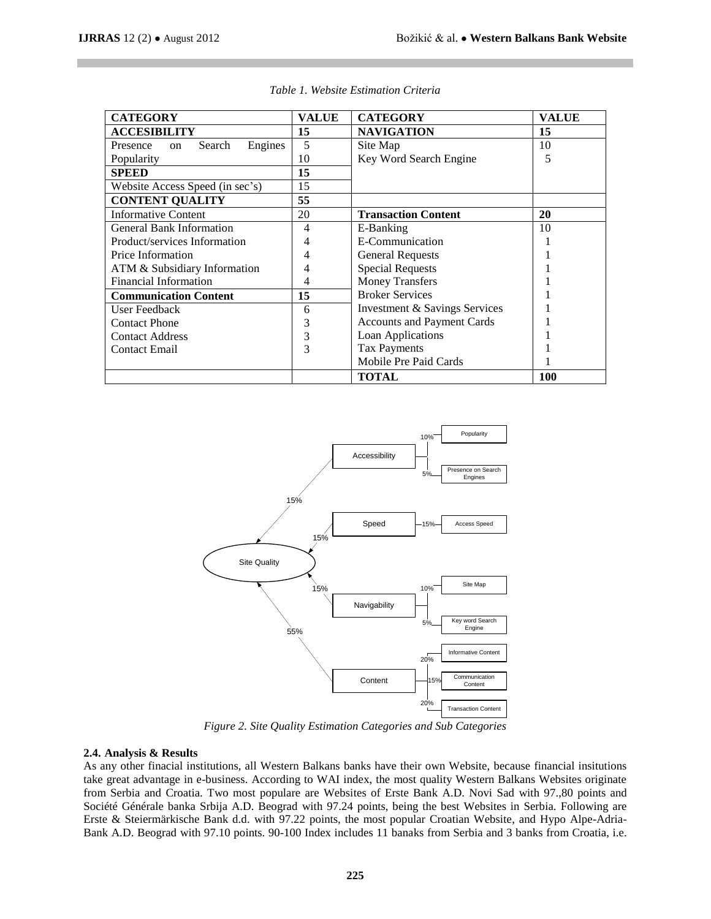| <b>CATEGORY</b>                     | <b>VALUE</b> | <b>CATEGORY</b>                   | <b>VALUE</b> |
|-------------------------------------|--------------|-----------------------------------|--------------|
| <b>ACCESIBILITY</b>                 | 15           | <b>NAVIGATION</b>                 | 15           |
| Engines<br>Presence<br>Search<br>on | 5            | Site Map                          | 10           |
| Popularity                          | 10           | Key Word Search Engine            | 5            |
| <b>SPEED</b>                        | 15           |                                   |              |
| Website Access Speed (in sec's)     | 15           |                                   |              |
| <b>CONTENT QUALITY</b>              | 55           |                                   |              |
| <b>Informative Content</b>          | 20           | <b>Transaction Content</b>        | 20           |
| <b>General Bank Information</b>     | 4            | E-Banking                         | 10           |
| Product/services Information        | 4            | E-Communication                   |              |
| Price Information                   | 4            | <b>General Requests</b>           |              |
| ATM & Subsidiary Information        | 4            | <b>Special Requests</b>           |              |
| Financial Information               | 4            | <b>Money Transfers</b>            |              |
| <b>Communication Content</b>        | 15           | <b>Broker Services</b>            |              |
| User Feedback                       | 6            | Investment & Savings Services     |              |
| <b>Contact Phone</b>                | 3            | <b>Accounts and Payment Cards</b> |              |
| <b>Contact Address</b>              | 3            | Loan Applications                 |              |
| <b>Contact Email</b>                | 3            | <b>Tax Payments</b>               |              |
|                                     |              | Mobile Pre Paid Cards             |              |
|                                     |              | <b>TOTAL</b>                      | 100          |

*Table 1. Website Estimation Criteria*



*Figure 2. Site Quality Estimation Categories and Sub Categories*

#### **2.4. Analysis & Results**

As any other finacial institutions, all Western Balkans banks have their own Website, because financial insitutions take great advantage in e-business. According to WAI index, the most quality Western Balkans Websites originate from Serbia and Croatia. Two most populare are Websites of Erste Bank A.D. Novi Sad with 97.,80 points and Société Générale banka Srbija A.D. Beograd with 97.24 points, being the best Websites in Serbia. Following are Erste & Steiermärkische Bank d.d. with 97.22 points, the most popular Croatian Website, and Hypo Alpe-Adria-Bank A.D. Beograd with 97.10 points. 90-100 Index includes 11 banaks from Serbia and 3 banks from Croatia, i.e.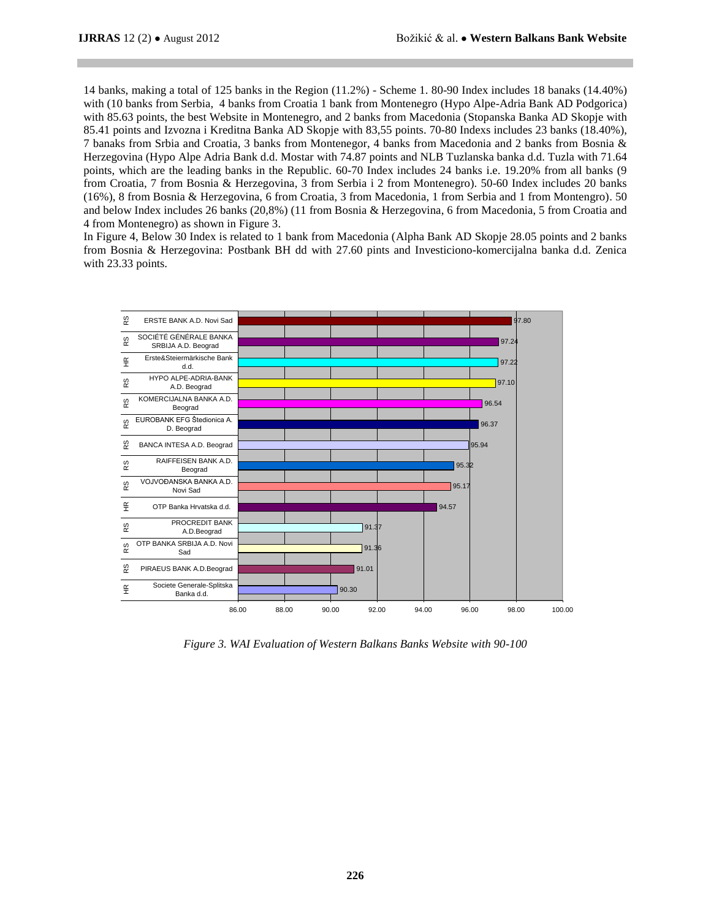14 banks, making a total of 125 banks in the Region (11.2%) - Scheme 1. 80-90 Index includes 18 banaks (14.40%) with (10 banks from Serbia, 4 banks from Croatia 1 bank from Montenegro (Hypo Alpe-Adria Bank AD Podgorica) with 85.63 points, the best Website in Montenegro, and 2 banks from Macedonia (Stopanska Banka AD Skopje with 85.41 points and Izvozna i Kreditna Banka AD Skopje with 83,55 points. 70-80 Indexs includes 23 banks (18.40%), 7 banaks from Srbia and Croatia, 3 banks from Montenegor, 4 banks from Macedonia and 2 banks from Bosnia & Herzegovina (Hypo Alpe Adria Bank d.d. Mostar with 74.87 points and NLB Tuzlanska banka d.d. Tuzla with 71.64 points, which are the leading banks in the Republic. 60-70 Index includes 24 banks i.e. 19.20% from all banks (9 from Croatia, 7 from Bosnia & Herzegovina, 3 from Serbia i 2 from Montenegro). 50-60 Index includes 20 banks (16%), 8 from Bosnia & Herzegovina, 6 from Croatia, 3 from Macedonia, 1 from Serbia and 1 from Montengro). 50 and below Index includes 26 banks (20,8%) (11 from Bosnia & Herzegovina, 6 from Macedonia, 5 from Croatia and 4 from Montenegro) as shown in Figure 3.

In Figure 4, Below 30 Index is related to 1 bank from Macedonia (Alpha Bank AD Skopje 28.05 points and 2 banks from Bosnia & Herzegovina: Postbank BH dd with 27.60 pints and Investiciono-komercijalna banka d.d. Zenica with 23.33 points.



*Figure 3. WAI Evaluation of Western Balkans Banks Website with 90-100*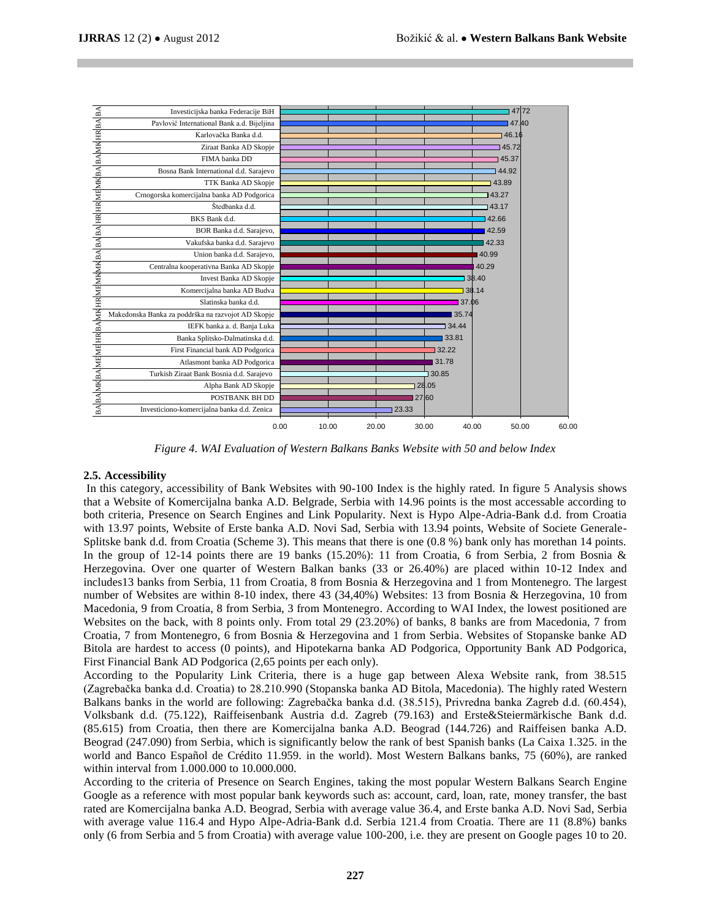|                                                                       | Investicijska banka Federacije BiH                 |       |       |       |        |        | 47.72 |       |
|-----------------------------------------------------------------------|----------------------------------------------------|-------|-------|-------|--------|--------|-------|-------|
|                                                                       | Pavlović International Bank a.d. Bijeljina         |       |       |       |        | 47.40  |       |       |
|                                                                       | Karlovačka Banka d.d.                              |       |       |       |        | 46.16  |       |       |
|                                                                       | Ziraat Banka AD Skopje                             |       |       |       |        | 45.72  |       |       |
|                                                                       | FIMA banka DD                                      |       |       |       |        | 45.37  |       |       |
|                                                                       | Bosna Bank International d.d. Sarajevo             |       |       |       |        | 144.92 |       |       |
|                                                                       | TTK Banka AD Skopje                                |       |       |       |        | 143.89 |       |       |
|                                                                       | Crnogorska komercijalna banka AD Podgorica         |       |       |       |        | 143.27 |       |       |
|                                                                       | Štedbanka d.d.                                     |       |       |       |        | 143.17 |       |       |
|                                                                       | BKS Bank d.d.                                      |       |       |       |        | 142.66 |       |       |
|                                                                       | BOR Banka d.d. Sarajevo,                           |       |       |       |        | 142.59 |       |       |
|                                                                       | Vakufska banka d.d. Sarajevo                       |       |       |       |        | 42.33  |       |       |
|                                                                       | Union banka d.d. Sarajevo,                         |       |       |       |        | 40.99  |       |       |
|                                                                       | Centralna kooperativna Banka AD Skopje             |       |       |       |        | 40.29  |       |       |
|                                                                       | Invest Banka AD Skopje                             |       |       |       |        | 38.40  |       |       |
|                                                                       | Komercijalna banka AD Budva                        |       |       |       |        | 38.14  |       |       |
|                                                                       | Slatinska banka d.d.                               |       |       |       | 137.06 |        |       |       |
|                                                                       | Makedonska Banka za poddrška na razvojot AD Skopje |       |       |       | 35.74  |        |       |       |
|                                                                       | IEFK banka a. d. Banja Luka                        |       |       |       | 34.44  |        |       |       |
|                                                                       | Banka Splitsko-Dalmatinska d.d.                    |       |       |       | 33.81  |        |       |       |
|                                                                       | First Financial bank AD Podgorica                  |       |       |       | 32.22  |        |       |       |
|                                                                       | Atlasmont banka AD Podgorica                       |       |       |       | 31.78  |        |       |       |
|                                                                       | Turkish Ziraat Bank Bosnia d.d. Sarajevo           |       |       |       | 30.85  |        |       |       |
|                                                                       | Alpha Bank AD Skopje                               |       |       |       | 328.05 |        |       |       |
|                                                                       | POSTBANK BH DD                                     |       |       | 27 60 |        |        |       |       |
| BA BA MKBA MEME HR BA MKHR MEMKAK BA BA BA HR HR MEMKBA BA MKHR BA BA | Investiciono-komercijalna banka d.d. Zenica        |       |       | 23.33 |        |        |       |       |
|                                                                       |                                                    |       |       |       |        |        |       |       |
|                                                                       | 0.00                                               | 10.00 | 20.00 |       | 30.00  | 40.00  | 50.00 | 60.00 |

*Figure 4. WAI Evaluation of Western Balkans Banks Website with 50 and below Index*

## **2.5. Accessibility**

In this category, accessibility of Bank Websites with 90-100 Index is the highly rated. In figure 5 Analysis shows that a Website of Komercijalna banka A.D. Belgrade, Serbia with 14.96 points is the most accessable according to both criteria, Presence on Search Engines and Link Popularity. Next is Hypo Alpe-Adria-Bank d.d. from Croatia with 13.97 points, Website of Erste banka A.D. Novi Sad, Serbia with 13.94 points, Website of Societe Generale-Splitske bank d.d. from Croatia (Scheme 3). This means that there is one (0.8 %) bank only has morethan 14 points. In the group of 12-14 points there are 19 banks (15.20%): 11 from Croatia, 6 from Serbia, 2 from Bosnia  $\&$ Herzegovina. Over one quarter of Western Balkan banks (33 or 26.40%) are placed within 10-12 Index and includes13 banks from Serbia, 11 from Croatia, 8 from Bosnia & Herzegovina and 1 from Montenegro. The largest number of Websites are within 8-10 index, there 43 (34,40%) Websites: 13 from Bosnia & Herzegovina, 10 from Macedonia, 9 from Croatia, 8 from Serbia, 3 from Montenegro. According to WAI Index, the lowest positioned are Websites on the back, with 8 points only. From total 29 (23.20%) of banks, 8 banks are from Macedonia, 7 from Croatia, 7 from Montenegro, 6 from Bosnia & Herzegovina and 1 from Serbia. Websites of Stopanske banke AD Bitola are hardest to access (0 points), and Hipotekarna banka AD Podgorica, Opportunity Bank AD Podgorica, First Financial Bank AD Podgorica (2,65 points per each only).

According to the Popularity Link Criteria, there is a huge gap between Alexa Website rank, from 38.515 (Zagrebačka banka d.d. Croatia) to 28.210.990 (Stopanska banka AD Bitola, Macedonia). The highly rated Western Balkans banks in the world are following: Zagrebačka banka d.d. (38.515), Privredna banka Zagreb d.d. (60.454), Volksbank d.d. (75.122), Raiffeisenbank Austria d.d. Zagreb (79.163) and Erste&Steiermärkische Bank d.d. (85.615) from Croatia, then there are Komercijalna banka A.D. Beograd (144.726) and Raiffeisen banka A.D. Beograd (247.090) from Serbia, which is significantly below the rank of best Spanish banks (La Caixa 1.325. in the world and Banco Español de Crédito 11.959. in the world). Most Western Balkans banks, 75 (60%), are ranked within interval from 1.000.000 to 10.000.000.

According to the criteria of Presence on Search Engines, taking the most popular Western Balkans Search Engine Google as a reference with most popular bank keywords such as: account, card, loan, rate, money transfer, the bast rated are Komercijalna banka A.D. Beograd, Serbia with average value 36.4, and Erste banka A.D. Novi Sad, Serbia with average value 116.4 and Hypo Alpe-Adria-Bank d.d. Serbia 121.4 from Croatia. There are 11 (8.8%) banks only (6 from Serbia and 5 from Croatia) with average value 100-200, i.e. they are present on Google pages 10 to 20.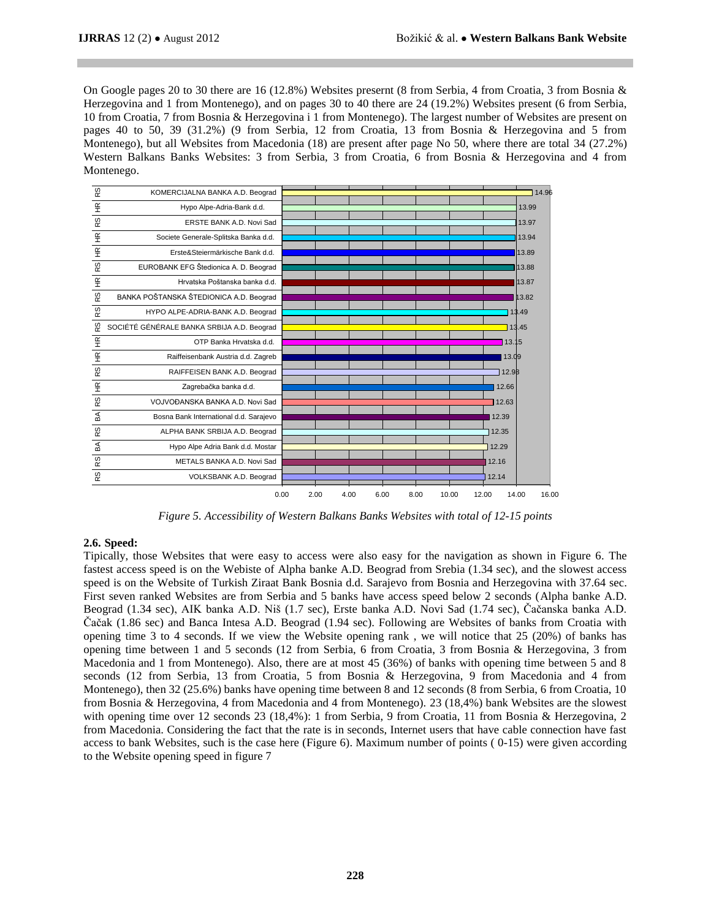On Google pages 20 to 30 there are 16 (12.8%) Websites presernt (8 from Serbia, 4 from Croatia, 3 from Bosnia & Herzegovina and 1 from Montenego), and on pages 30 to 40 there are 24 (19.2%) Websites present (6 from Serbia, 10 from Croatia, 7 from Bosnia & Herzegovina i 1 from Montenego). The largest number of Websites are present on pages 40 to 50, 39 (31.2%) (9 from Serbia, 12 from Croatia, 13 from Bosnia & Herzegovina and 5 from Montenego), but all Websites from Macedonia (18) are present after page No 50, where there are total 34 (27.2%) Western Balkans Banks Websites: 3 from Serbia, 3 from Croatia, 6 from Bosnia & Herzegovina and 4 from Montenego.



*Figure 5. Accessibility of Western Balkans Banks Websites with total of 12-15 points*

# **2.6. Speed:**

Tipically, those Websites that were easy to access were also easy for the navigation as shown in Figure 6. The fastest access speed is on the Webiste of Alpha banke A.D. Beograd from Srebia (1.34 sec), and the slowest access speed is on the Website of Turkish Ziraat Bank Bosnia d.d. Sarajevo from Bosnia and Herzegovina with 37.64 sec. First seven ranked Websites are from Serbia and 5 banks have access speed below 2 seconds (Alpha banke A.D. Beograd (1.34 sec), AIK banka A.D. Niš (1.7 sec), Erste banka A.D. Novi Sad (1.74 sec), Čačanska banka A.D. Čačak (1.86 sec) and Banca Intesa A.D. Beograd (1.94 sec). Following are Websites of banks from Croatia with opening time 3 to 4 seconds. If we view the Website opening rank , we will notice that 25 (20%) of banks has opening time between 1 and 5 seconds (12 from Serbia, 6 from Croatia, 3 from Bosnia & Herzegovina, 3 from Macedonia and 1 from Montenego). Also, there are at most 45 (36%) of banks with opening time between 5 and 8 seconds (12 from Serbia, 13 from Croatia, 5 from Bosnia & Herzegovina, 9 from Macedonia and 4 from Montenego), then 32 (25.6%) banks have opening time between 8 and 12 seconds (8 from Serbia, 6 from Croatia, 10 from Bosnia & Herzegovina, 4 from Macedonia and 4 from Montenego). 23 (18,4%) bank Websites are the slowest with opening time over 12 seconds 23 (18,4%): 1 from Serbia, 9 from Croatia, 11 from Bosnia & Herzegovina, 2 from Macedonia. Considering the fact that the rate is in seconds, Internet users that have cable connection have fast access to bank Websites, such is the case here (Figure 6). Maximum number of points ( 0-15) were given according to the Website opening speed in figure 7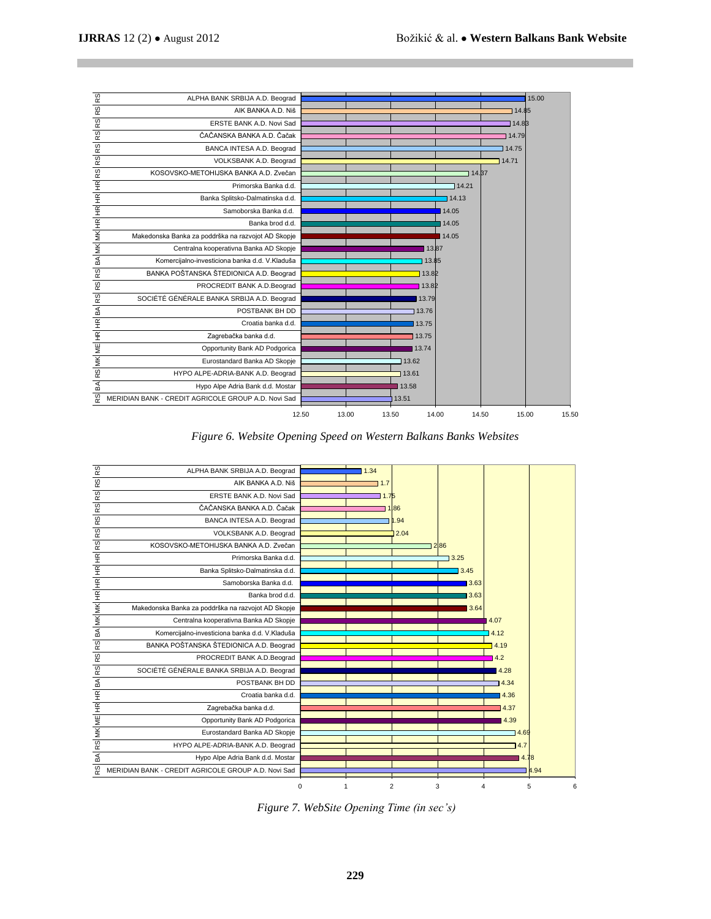

*Figure 6. Website Opening Speed on Western Balkans Banks Websites*



*Figure 7. WebSite Opening Time (in sec's)*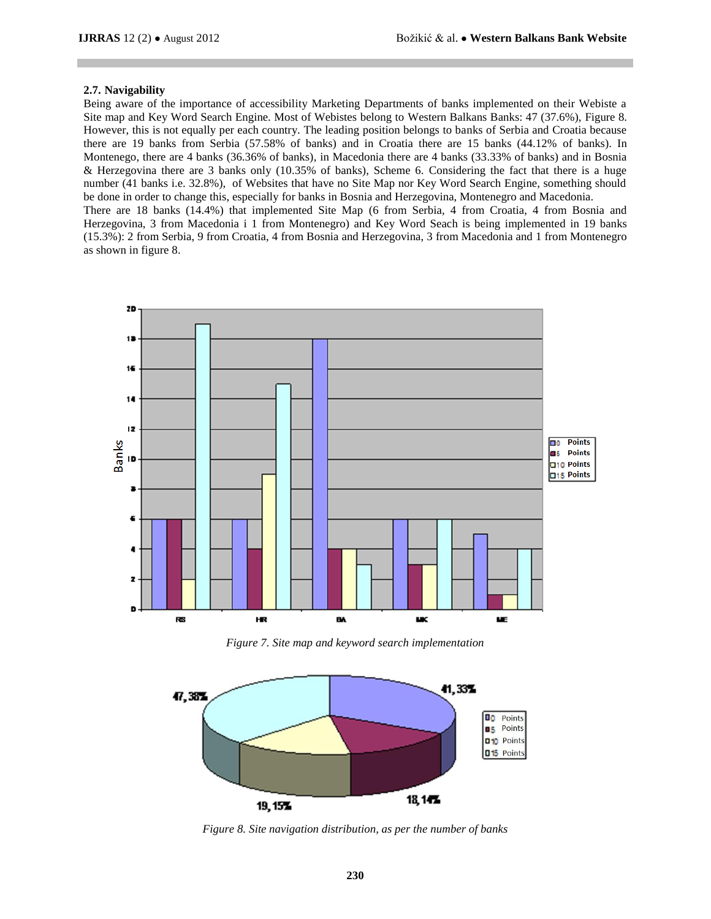## **2.7. Navigability**

Being aware of the importance of accessibility Marketing Departments of banks implemented on their Webiste a Site map and Key Word Search Engine. Most of Webistes belong to Western Balkans Banks: 47 (37.6%), Figure 8. However, this is not equally per each country. The leading position belongs to banks of Serbia and Croatia because there are 19 banks from Serbia (57.58% of banks) and in Croatia there are 15 banks (44.12% of banks). In Montenego, there are 4 banks (36.36% of banks), in Macedonia there are 4 banks (33.33% of banks) and in Bosnia & Herzegovina there are 3 banks only (10.35% of banks), Scheme 6. Considering the fact that there is a huge number (41 banks i.e. 32.8%), of Websites that have no Site Map nor Key Word Search Engine, something should be done in order to change this, especially for banks in Bosnia and Herzegovina, Montenegro and Macedonia. There are 18 banks (14.4%) that implemented Site Map (6 from Serbia, 4 from Croatia, 4 from Bosnia and Herzegovina, 3 from Macedonia i 1 from Montenegro) and Key Word Seach is being implemented in 19 banks (15.3%): 2 from Serbia, 9 from Croatia, 4 from Bosnia and Herzegovina, 3 from Macedonia and 1 from Montenegro as shown in figure 8.



*Figure 7. Site map and keyword search implementation*



*Figure 8. Site navigation distribution, as per the number of banks*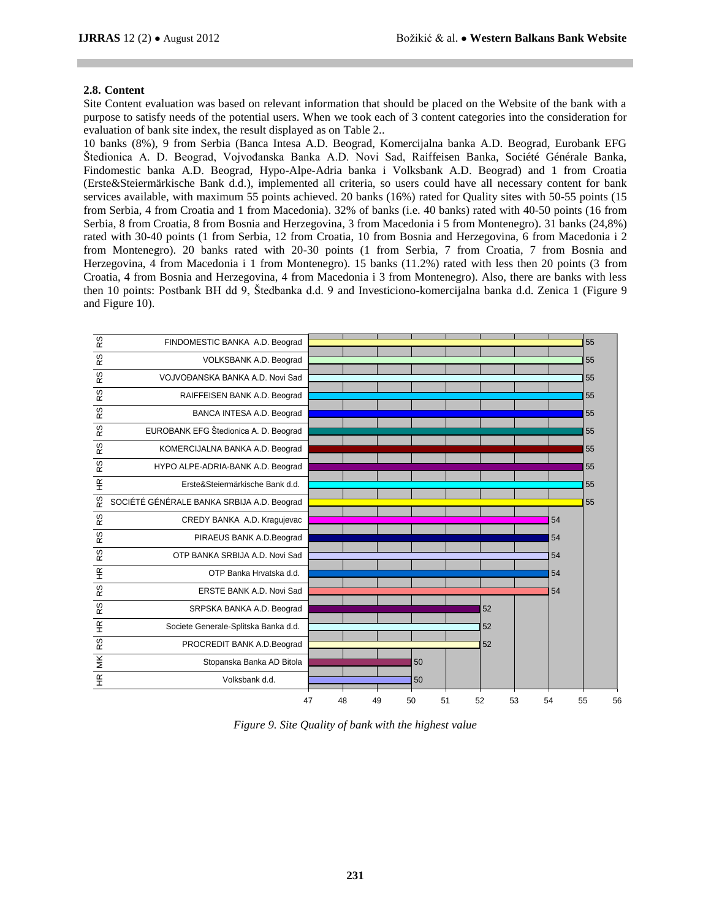## **2.8. Content**

Site Content evaluation was based on relevant information that should be placed on the Website of the bank with a purpose to satisfy needs of the potential users. When we took each of 3 content categories into the consideration for evaluation of bank site index, the result displayed as on Table 2..

10 banks (8%), 9 from Serbia (Banca Intesa A.D. Beograd, Komercijalna banka A.D. Beograd, Eurobank EFG Štedionica A. D. Beograd, Vojvođanska Banka A.D. Novi Sad, Raiffeisen Banka, Société Générale Banka, Findomestic banka A.D. Beograd, Hypo-Alpe-Adria banka i Volksbank A.D. Beograd) and 1 from Croatia (Erste&Steiermärkische Bank d.d.), implemented all criteria, so users could have all necessary content for bank services available, with maximum 55 points achieved. 20 banks (16%) rated for Quality sites with 50-55 points (15 from Serbia, 4 from Croatia and 1 from Macedonia). 32% of banks (i.e. 40 banks) rated with 40-50 points (16 from Serbia, 8 from Croatia, 8 from Bosnia and Herzegovina, 3 from Macedonia i 5 from Montenegro). 31 banks (24,8%) rated with 30-40 points (1 from Serbia, 12 from Croatia, 10 from Bosnia and Herzegovina, 6 from Macedonia i 2 from Montenegro). 20 banks rated with 20-30 points (1 from Serbia, 7 from Croatia, 7 from Bosnia and Herzegovina, 4 from Macedonia i 1 from Montenegro). 15 banks (11.2%) rated with less then 20 points (3 from Croatia, 4 from Bosnia and Herzegovina, 4 from Macedonia i 3 from Montenegro). Also, there are banks with less then 10 points: Postbank BH dd 9, Štedbanka d.d. 9 and Investiciono-komercijalna banka d.d. Zenica 1 (Figure 9 and Figure 10).

| RS                       | FINDOMESTIC BANKA A.D. Beograd             |    |    |    |    |    |    |    |    | 55 |
|--------------------------|--------------------------------------------|----|----|----|----|----|----|----|----|----|
| $\omega$<br>œ            | VOLKSBANK A.D. Beograd                     |    |    |    |    |    |    |    |    | 55 |
| S<br>$\propto$           | VOJVOĐANSKA BANKA A.D. Novi Sad            |    |    |    |    |    |    |    |    | 55 |
| w<br>œ                   | RAIFFEISEN BANK A.D. Beograd               |    |    |    |    |    |    |    |    | 55 |
| RS                       | BANCA INTESA A.D. Beograd                  |    |    |    |    |    |    |    |    | 55 |
| RS                       | EUROBANK EFG Štedionica A. D. Beograd      |    |    |    |    |    |    |    |    | 55 |
| w<br>œ                   | KOMERCIJALNA BANKA A.D. Beograd            |    |    |    |    |    |    |    |    | 55 |
| RS                       | HYPO ALPE-ADRIA-BANK A.D. Beograd          |    |    |    |    |    |    |    |    | 55 |
| $\widetilde{\mathbf{H}}$ | Erste&Steiermärkische Bank d.d.            |    |    |    |    |    |    |    |    | 55 |
| RS                       | SOCIÉTÉ GÉNÉRALE BANKA SRBIJA A.D. Beograd |    |    |    |    |    |    |    |    | 55 |
| RS                       | CREDY BANKA A.D. Kragujevac                |    |    |    |    |    |    | 54 |    |    |
| RS                       | PIRAEUS BANK A.D. Beograd                  |    |    |    |    |    |    | 54 |    |    |
| RS                       | OTP BANKA SRBIJA A.D. Novi Sad             |    |    |    |    |    |    | 54 |    |    |
| $\widetilde{\mathbf{H}}$ | OTP Banka Hrvatska d.d.                    |    |    |    |    |    |    | 54 |    |    |
| RS                       | ERSTE BANK A.D. Novi Sad                   |    |    |    |    |    |    | 54 |    |    |
| RS                       | SRPSKA BANKA A.D. Beograd                  |    |    |    |    | 52 |    |    |    |    |
| $\frac{\alpha}{\pi}$     | Societe Generale-Splitska Banka d.d.       |    |    |    |    | 52 |    |    |    |    |
| RS                       | PROCREDIT BANK A.D.Beograd                 |    |    |    |    | 52 |    |    |    |    |
| $\leq$                   | Stopanska Banka AD Bitola                  |    |    | 50 |    |    |    |    |    |    |
| $\widetilde{\mathbf{H}}$ | Volksbank d.d.                             |    |    | 50 |    |    |    |    |    |    |
|                          | 47                                         | 48 | 49 | 50 | 51 | 52 | 53 | 54 | 55 | 56 |

*Figure 9. Site Quality of bank with the highest value*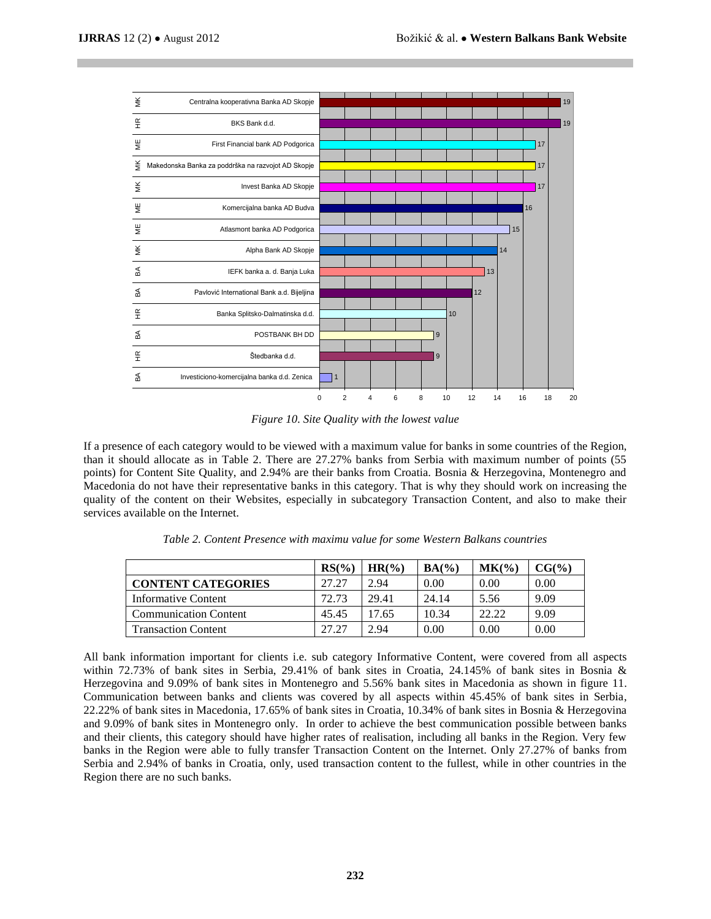

*Figure 10. Site Quality with the lowest value*

If a presence of each category would to be viewed with a maximum value for banks in some countries of the Region, than it should allocate as in Table 2. There are 27.27% banks from Serbia with maximum number of points (55 points) for Content Site Quality, and 2.94% are their banks from Croatia. Bosnia & Herzegovina, Montenegro and Macedonia do not have their representative banks in this category. That is why they should work on increasing the quality of the content on their Websites, especially in subcategory Transaction Content, and also to make their services available on the Internet.

|                              | $RS(\%)$ | HR(%) | $BA(\%)$ | MK(%  | $CG(\%)$ |
|------------------------------|----------|-------|----------|-------|----------|
| <b>CONTENT CATEGORIES</b>    | 27.27    | 2.94  | 0.00     | 0.00  | 0.00     |
| Informative Content          | 72.73    | 29.41 | 24.14    | 5.56  | 9.09     |
| <b>Communication Content</b> | 45.45    | 17.65 | 10.34    | 22.22 | 9.09     |
| <b>Transaction Content</b>   | 27.27    | 2.94  | 0.00     | 0.00  | 0.00     |

*Table 2. Content Presence with maximu value for some Western Balkans countries*

All bank information important for clients i.e. sub category Informative Content, were covered from all aspects within 72.73% of bank sites in Serbia, 29.41% of bank sites in Croatia, 24.145% of bank sites in Bosnia & Herzegovina and 9.09% of bank sites in Montenegro and 5.56% bank sites in Macedonia as shown in figure 11. Communication between banks and clients was covered by all aspects within 45.45% of bank sites in Serbia, 22.22% of bank sites in Macedonia, 17.65% of bank sites in Croatia, 10.34% of bank sites in Bosnia & Herzegovina and 9.09% of bank sites in Montenegro only. In order to achieve the best communication possible between banks and their clients, this category should have higher rates of realisation, including all banks in the Region. Very few banks in the Region were able to fully transfer Transaction Content on the Internet. Only 27.27% of banks from Serbia and 2.94% of banks in Croatia, only, used transaction content to the fullest, while in other countries in the Region there are no such banks.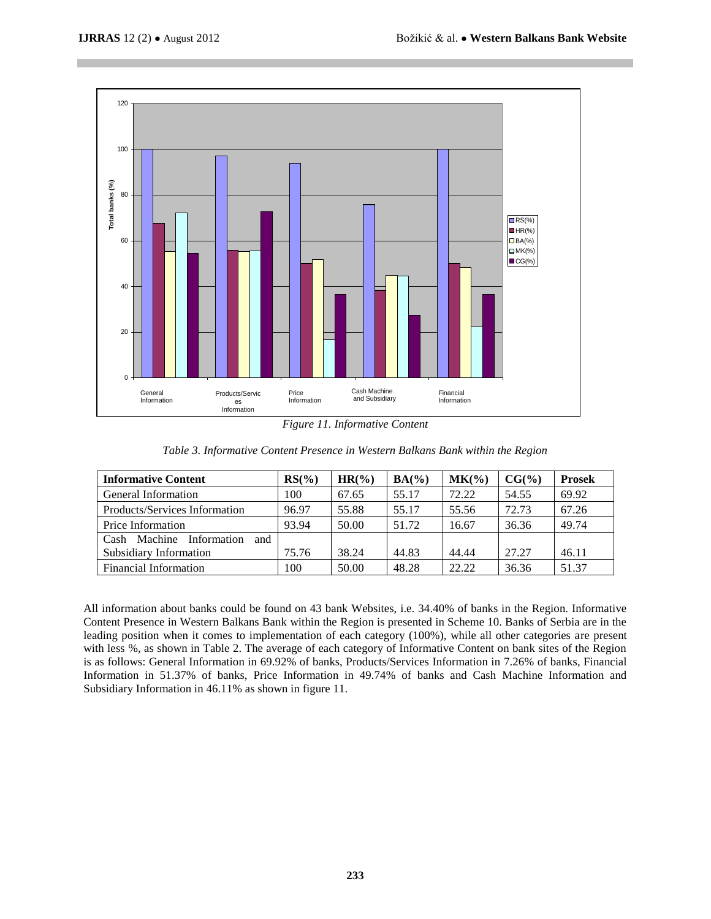

*Figure 11. Informative Content*

| <b>Informative Content</b>         | $RS(\%)$ | $HR(\%)$ | $BA(\%)$ | MK(%  | $CG(\%)$ | <b>Prosek</b> |
|------------------------------------|----------|----------|----------|-------|----------|---------------|
| General Information                | 100      | 67.65    | 55.17    | 72.22 | 54.55    | 69.92         |
| Products/Services Information      | 96.97    | 55.88    | 55.17    | 55.56 | 72.73    | 67.26         |
| Price Information                  | 93.94    | 50.00    | 51.72    | 16.67 | 36.36    | 49.74         |
| Machine Information<br>Cash<br>and |          |          |          |       |          |               |
| Subsidiary Information             | 75.76    | 38.24    | 44.83    | 44.44 | 27.27    | 46.11         |
| <b>Financial Information</b>       | 100      | 50.00    | 48.28    | 22.22 | 36.36    | 51.37         |

All information about banks could be found on 43 bank Websites, i.e. 34.40% of banks in the Region. Informative Content Presence in Western Balkans Bank within the Region is presented in Scheme 10. Banks of Serbia are in the leading position when it comes to implementation of each category (100%), while all other categories are present with less %, as shown in Table 2. The average of each category of Informative Content on bank sites of the Region is as follows: General Information in 69.92% of banks, Products/Services Information in 7.26% of banks, Financial Information in 51.37% of banks, Price Information in 49.74% of banks and Cash Machine Information and Subsidiary Information in 46.11% as shown in figure 11.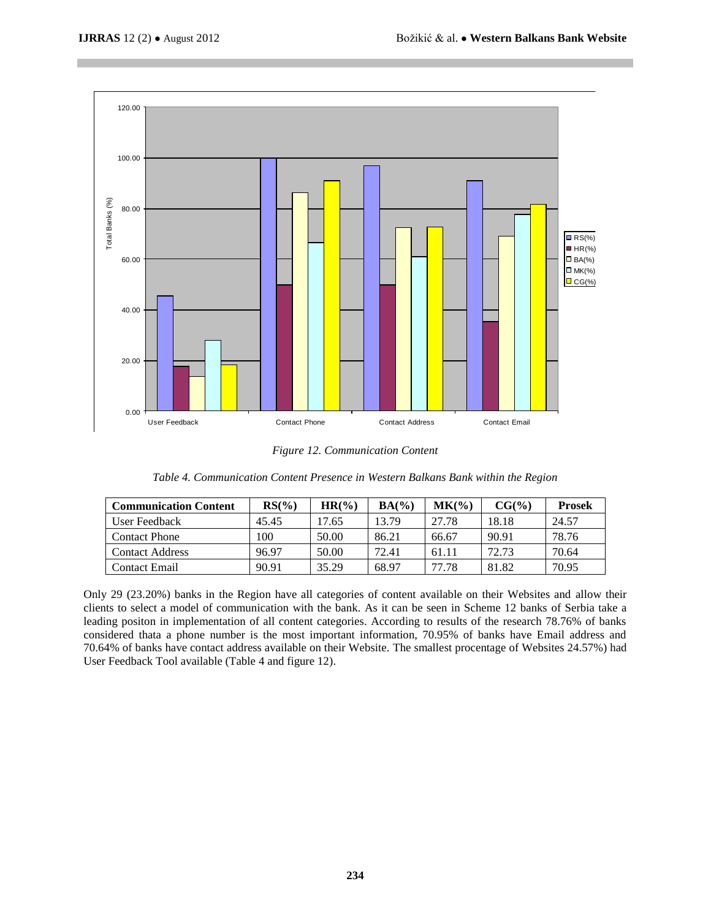

*Figure 12. Communication Content*

| Table 4. Communication Content Presence in Western Balkans Bank within the Region |  |  |  |  |  |
|-----------------------------------------------------------------------------------|--|--|--|--|--|
|-----------------------------------------------------------------------------------|--|--|--|--|--|

| <b>Communication Content</b> | $RS(\%)$ | $HR(\%)$ | $BA(\%)$ | MK(%) | $CG(\%)$ | <b>Prosek</b> |
|------------------------------|----------|----------|----------|-------|----------|---------------|
| User Feedback                | 45.45    | 7.65     | 13.79    | 27.78 | 18.18    | 24.57         |
| <b>Contact Phone</b>         | 100      | 50.00    | 86.21    | 66.67 | 90.91    | 78.76         |
| <b>Contact Address</b>       | 96.97    | 50.00    | 72.41    | 61.11 | 72.73    | 70.64         |
| <b>Contact Email</b>         | 90.91    | 35.29    | 68.97    | 77.78 | 81.82    | 70.95         |

Only 29 (23.20%) banks in the Region have all categories of content available on their Websites and allow their clients to select a model of communication with the bank. As it can be seen in Scheme 12 banks of Serbia take a leading positon in implementation of all content categories. According to results of the research 78.76% of banks considered thata a phone number is the most important information, 70.95% of banks have Email address and 70.64% of banks have contact address available on their Website. The smallest procentage of Websites 24.57%) had User Feedback Tool available (Table 4 and figure 12).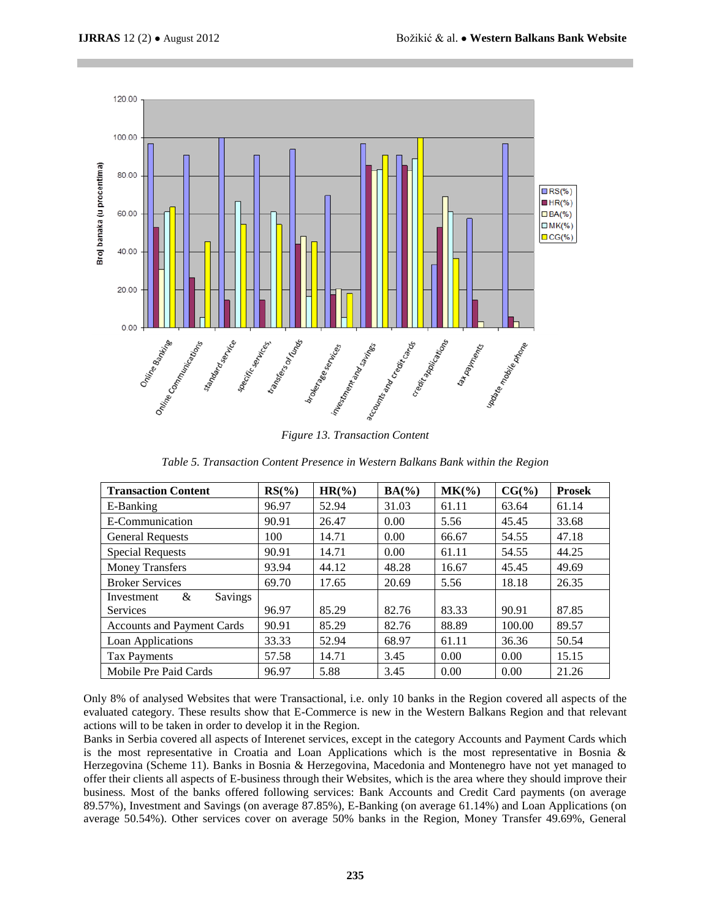

*Figure 13. Transaction Content*

*Table 5. Transaction Content Presence in Western Balkans Bank within the Region*

| <b>Transaction Content</b>        | $RS(\%)$ | $HR(\%)$ | $BA(\%)$ | $MK(\% )$ | $CG(\%)$ | <b>Prosek</b> |
|-----------------------------------|----------|----------|----------|-----------|----------|---------------|
| E-Banking                         | 96.97    | 52.94    | 31.03    | 61.11     | 63.64    | 61.14         |
| E-Communication                   | 90.91    | 26.47    | 0.00     | 5.56      | 45.45    | 33.68         |
| <b>General Requests</b>           | 100      | 14.71    | 0.00     | 66.67     | 54.55    | 47.18         |
| <b>Special Requests</b>           | 90.91    | 14.71    | 0.00     | 61.11     | 54.55    | 44.25         |
| <b>Money Transfers</b>            | 93.94    | 44.12    | 48.28    | 16.67     | 45.45    | 49.69         |
| <b>Broker Services</b>            | 69.70    | 17.65    | 20.69    | 5.56      | 18.18    | 26.35         |
| &<br>Savings<br>Investment        |          |          |          |           |          |               |
| Services                          | 96.97    | 85.29    | 82.76    | 83.33     | 90.91    | 87.85         |
| <b>Accounts and Payment Cards</b> | 90.91    | 85.29    | 82.76    | 88.89     | 100.00   | 89.57         |
| Loan Applications                 | 33.33    | 52.94    | 68.97    | 61.11     | 36.36    | 50.54         |
| <b>Tax Payments</b>               | 57.58    | 14.71    | 3.45     | 0.00      | 0.00     | 15.15         |
| Mobile Pre Paid Cards             | 96.97    | 5.88     | 3.45     | 0.00      | 0.00     | 21.26         |

Only 8% of analysed Websites that were Transactional, i.e. only 10 banks in the Region covered all aspects of the evaluated category. These results show that E-Commerce is new in the Western Balkans Region and that relevant actions will to be taken in order to develop it in the Region.

Banks in Serbia covered all aspects of Interenet services, except in the category Accounts and Payment Cards which is the most representative in Croatia and Loan Applications which is the most representative in Bosnia & Herzegovina (Scheme 11). Banks in Bosnia & Herzegovina, Macedonia and Montenegro have not yet managed to offer their clients all aspects of E-business through their Websites, which is the area where they should improve their business. Most of the banks offered following services: Bank Accounts and Credit Card payments (on average 89.57%), Investment and Savings (on average 87.85%), E-Banking (on average 61.14%) and Loan Applications (on average 50.54%). Other services cover on average 50% banks in the Region, Money Transfer 49.69%, General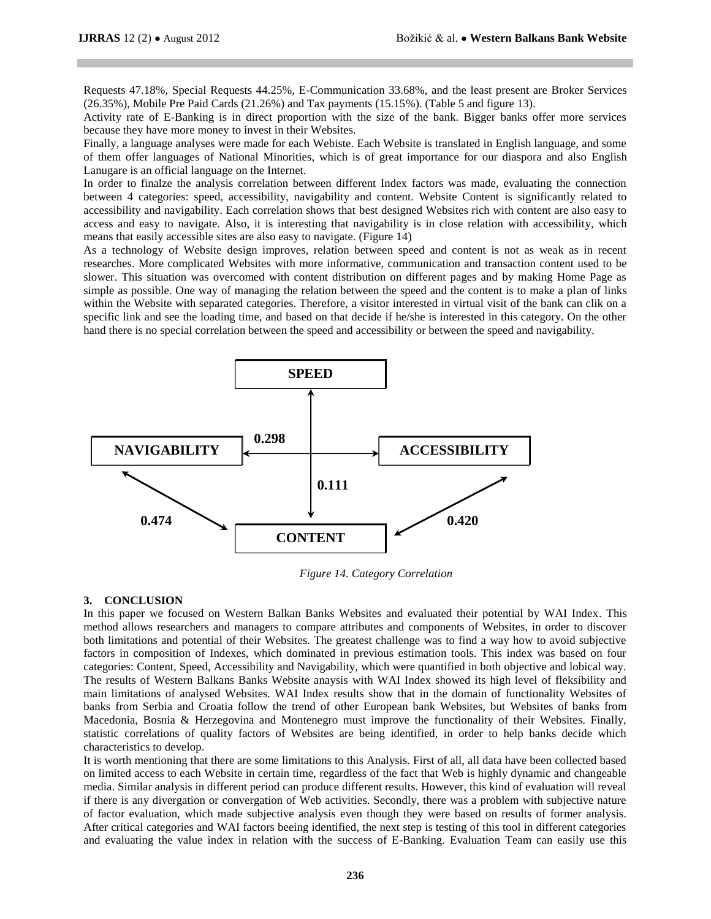Requests 47.18%, Special Requests 44.25%, E-Communication 33.68%, and the least present are Broker Services (26.35%), Mobile Pre Paid Cards (21.26%) and Tax payments (15.15%). (Table 5 and figure 13).

Activity rate of E-Banking is in direct proportion with the size of the bank. Bigger banks offer more services because they have more money to invest in their Websites.

Finally, a language analyses were made for each Webiste. Each Website is translated in English language, and some of them offer languages of National Minorities, which is of great importance for our diaspora and also English Lanugare is an official language on the Internet.

In order to finalze the analysis correlation between different Index factors was made, evaluating the connection between 4 categories: speed, accessibility, navigability and content. Website Content is significantly related to accessibility and navigability. Each correlation shows that best designed Websites rich with content are also easy to access and easy to navigate. Also, it is interesting that navigability is in close relation with accessibility, which means that easily accessible sites are also easy to navigate. (Figure 14)

As a technology of Website design improves, relation between speed and content is not as weak as in recent researches. More complicated Websites with more informative, communication and transaction content used to be slower. This situation was overcomed with content distribution on different pages and by making Home Page as simple as possible. One way of managing the relation between the speed and the content is to make a plan of links within the Website with separated categories. Therefore, a visitor interested in virtual visit of the bank can clik on a specific link and see the loading time, and based on that decide if he/she is interested in this category. On the other hand there is no special correlation between the speed and accessibility or between the speed and navigability.



*Figure 14. Category Correlation*

#### **3. CONCLUSION**

In this paper we focused on Western Balkan Banks Websites and evaluated their potential by WAI Index. This method allows researchers and managers to compare attributes and components of Websites, in order to discover both limitations and potential of their Websites. The greatest challenge was to find a way how to avoid subjective factors in composition of Indexes, which dominated in previous estimation tools. This index was based on four categories: Content, Speed, Accessibility and Navigability, which were quantified in both objective and lobical way. The results of Western Balkans Banks Website anaysis with WAI Index showed its high level of fleksibility and main limitations of analysed Websites. WAI Index results show that in the domain of functionality Websites of banks from Serbia and Croatia follow the trend of other European bank Websites, but Websites of banks from Macedonia, Bosnia & Herzegovina and Montenegro must improve the functionality of their Websites. Finally, statistic correlations of quality factors of Websites are being identified, in order to help banks decide which characteristics to develop.

It is worth mentioning that there are some limitations to this Analysis. First of all, all data have been collected based on limited access to each Website in certain time, regardless of the fact that Web is highly dynamic and changeable media. Similar analysis in different period can produce different results. However, this kind of evaluation will reveal if there is any divergation or convergation of Web activities. Secondly, there was a problem with subjective nature of factor evaluation, which made subjective analysis even though they were based on results of former analysis. After critical categories and WAI factors beeing identified, the next step is testing of this tool in different categories and evaluating the value index in relation with the success of E-Banking. Evaluation Team can easily use this